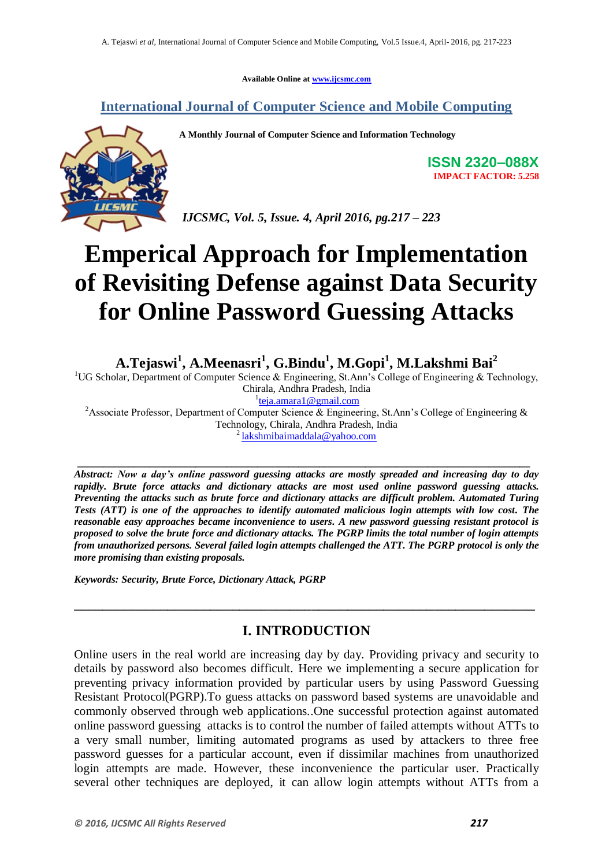**Available Online at [www.ijcsmc.com](http://www.ijcsmc.com/)**

**International Journal of Computer Science and Mobile Computing**

**A Monthly Journal of Computer Science and Information Technology**

**ISSN 2320–088X IMPACT FACTOR: 5.258**

*IJCSMC, Vol. 5, Issue. 4, April 2016, pg.217 – 223*

# **Emperical Approach for Implementation of Revisiting Defense against Data Security for Online Password Guessing Attacks**

**A.Tejaswi<sup>1</sup> , A.Meenasri<sup>1</sup> , G.Bindu<sup>1</sup> , M.Gopi<sup>1</sup> , M.Lakshmi Bai<sup>2</sup>**

<sup>1</sup>UG Scholar, Department of Computer Science & Engineering, St.Ann's College of Engineering & Technology, Chirala, Andhra Pradesh, India <sup>1</sup>[teja.amara1@gmail.com](mailto:teja.amara1@gmail.com)

<sup>2</sup>Associate Professor, Department of Computer Science & Engineering, St.Ann's College of Engineering & Technology, Chirala, Andhra Pradesh, India <sup>2</sup> [lakshmibaimaddala@yahoo.com](mailto:lakshmibaimaddala@yahoo.com)

**\_\_\_\_\_\_\_\_\_\_\_\_\_\_\_\_\_\_\_\_\_\_\_\_\_\_\_\_\_\_\_\_\_\_\_\_\_\_\_\_\_\_\_\_\_\_\_\_\_\_\_\_\_\_\_\_\_\_\_\_\_\_\_\_\_\_\_\_\_\_\_\_\_\_\_\_\_\_\_\_\_\_\_\_\_\_\_\_** *Abstract: Now a day's online password guessing attacks are mostly spreaded and increasing day to day rapidly. Brute force attacks and dictionary attacks are most used online password guessing attacks. Preventing the attacks such as brute force and dictionary attacks are difficult problem. Automated Turing Tests (ATT) is one of the approaches to identify automated malicious login attempts with low cost. The reasonable easy approaches became inconvenience to users. A new password guessing resistant protocol is proposed to solve the brute force and dictionary attacks. The PGRP limits the total number of login attempts from unauthorized persons. Several failed login attempts challenged the ATT. The PGRP protocol is only the more promising than existing proposals.*

*Keywords: Security, Brute Force, Dictionary Attack, PGRP*

# **I. INTRODUCTION**

**\_\_\_\_\_\_\_\_\_\_\_\_\_\_\_\_\_\_\_\_\_\_\_\_\_\_\_\_\_\_\_\_\_\_\_\_\_\_\_\_\_\_\_\_\_\_\_\_\_\_\_\_\_\_\_\_\_\_\_\_\_\_\_\_**

Online users in the real world are increasing day by day. Providing privacy and security to details by password also becomes difficult. Here we implementing a secure application for preventing privacy information provided by particular users by using Password Guessing Resistant Protocol(PGRP).To guess attacks on password based systems are unavoidable and commonly observed through web applications..One successful protection against automated online password guessing attacks is to control the number of failed attempts without ATTs to a very small number, limiting automated programs as used by attackers to three free password guesses for a particular account, even if dissimilar machines from unauthorized login attempts are made. However, these inconvenience the particular user. Practically several other techniques are deployed, it can allow login attempts without ATTs from a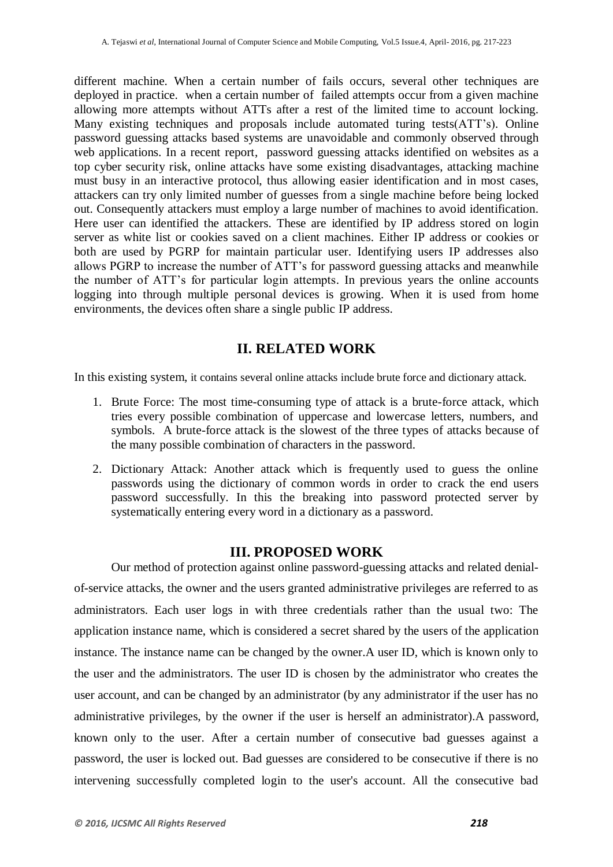different machine. When a certain number of fails occurs, several other techniques are deployed in practice. when a certain number of failed attempts occur from a given machine allowing more attempts without ATTs after a rest of the limited time to account locking. Many existing techniques and proposals include automated turing tests(ATT's). Online password guessing attacks based systems are unavoidable and commonly observed through web applications. In a recent report, password guessing attacks identified on websites as a top cyber security risk, online attacks have some existing disadvantages, attacking machine must busy in an interactive protocol, thus allowing easier identification and in most cases, attackers can try only limited number of guesses from a single machine before being locked out. Consequently attackers must employ a large number of machines to avoid identification. Here user can identified the attackers. These are identified by IP address stored on login server as white list or cookies saved on a client machines. Either IP address or cookies or both are used by PGRP for maintain particular user. Identifying users IP addresses also allows PGRP to increase the number of ATT's for password guessing attacks and meanwhile the number of ATT's for particular login attempts. In previous years the online accounts logging into through multiple personal devices is growing. When it is used from home environments, the devices often share a single public IP address.

## **II. RELATED WORK**

In this existing system, it contains several online attacks include brute force and dictionary attack.

- 1. Brute Force: The most time-consuming type of attack is a brute-force attack, which tries every possible combination of uppercase and lowercase letters, numbers, and symbols. A brute-force attack is the slowest of the three types of attacks because of the many possible combination of characters in the password.
- 2. Dictionary Attack: Another attack which is frequently used to guess the online passwords using the dictionary of common words in order to crack the end users password successfully. In this the breaking into password protected server by systematically entering every word in a dictionary as a password.

## **III. PROPOSED WORK**

Our method of protection against online password-guessing attacks and related denialof-service attacks, the owner and the users granted administrative privileges are referred to as administrators. Each user logs in with three credentials rather than the usual two: The application instance name, which is considered a secret shared by the users of the application instance. The instance name can be changed by the owner.A user ID, which is known only to the user and the administrators. The user ID is chosen by the administrator who creates the user account, and can be changed by an administrator (by any administrator if the user has no administrative privileges, by the owner if the user is herself an administrator).A password, known only to the user. After a certain number of consecutive bad guesses against a password, the user is locked out. Bad guesses are considered to be consecutive if there is no intervening successfully completed login to the user's account. All the consecutive bad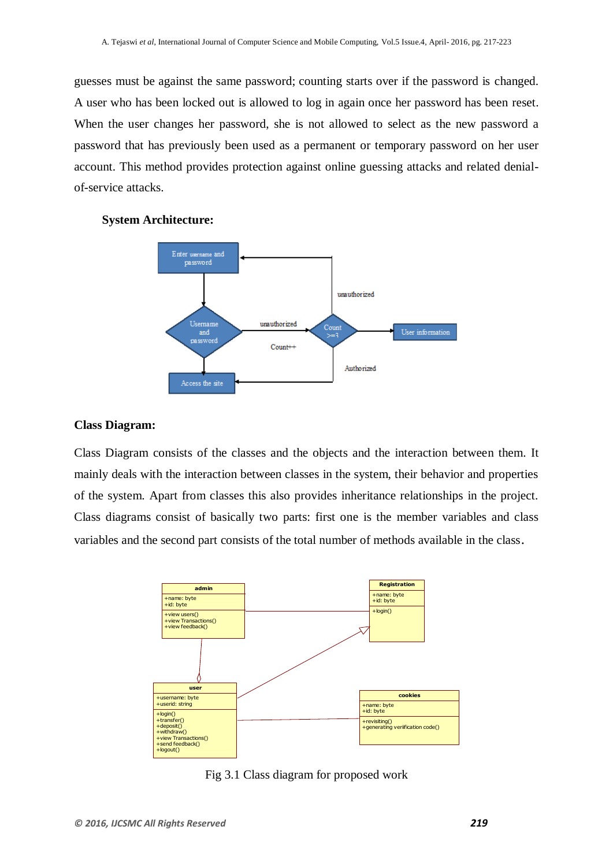guesses must be against the same password; counting starts over if the password is changed. A user who has been locked out is allowed to log in again once her password has been reset. When the user changes her password, she is not allowed to select as the new password a password that has previously been used as a permanent or temporary password on her user account. This method provides protection against online guessing attacks and related denialof-service attacks.

#### **System Architecture:**



#### **Class Diagram:**

Class Diagram consists of the classes and the objects and the interaction between them. It mainly deals with the interaction between classes in the system, their behavior and properties of the system. Apart from classes this also provides inheritance relationships in the project. Class diagrams consist of basically two parts: first one is the member variables and class variables and the second part consists of the total number of methods available in the class.



Fig 3.1 Class diagram for proposed work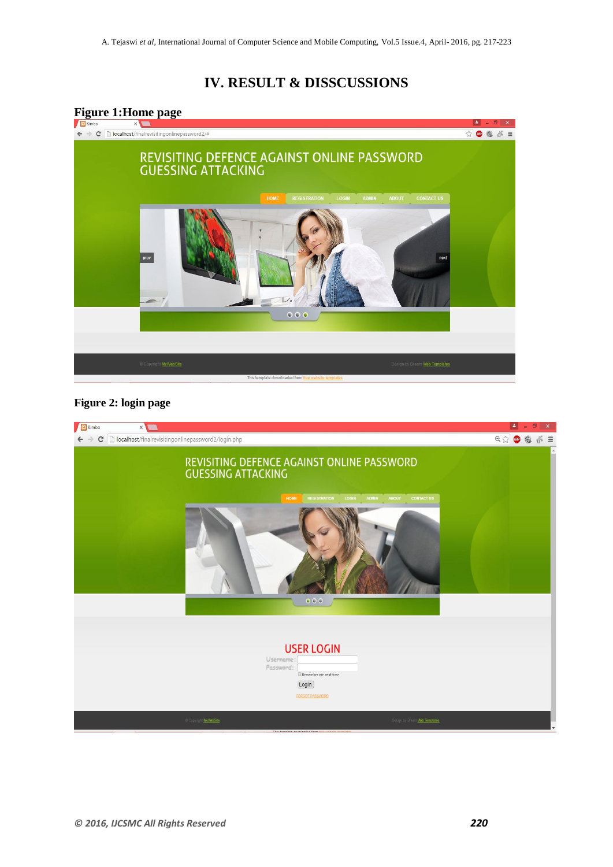# **IV. RESULT & DISSCUSSIONS**



### **Figure 2: login page**

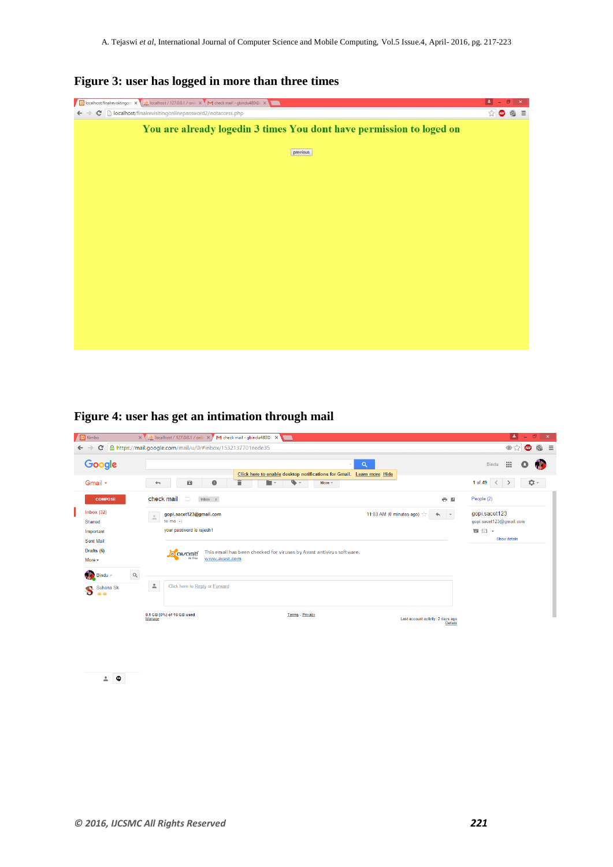| Solicialhost/finalrevisitingon: X 327 July localhost / 127.0.0.1 / onli X 1 M check mail - goindu4800 X 3 | $\left  \right $ |
|-----------------------------------------------------------------------------------------------------------|------------------|
| C [b] localhost/finalrevisitingonlinepassword2/notaccess.php<br>$\leftarrow$ $\rightarrow$                | $\Omega$<br>@ 三  |
| You are already logedin 3 times You dont have permission to loged on                                      |                  |
| previous                                                                                                  |                  |
|                                                                                                           |                  |
|                                                                                                           |                  |
|                                                                                                           |                  |
|                                                                                                           |                  |
|                                                                                                           |                  |
|                                                                                                           |                  |
|                                                                                                           |                  |
|                                                                                                           |                  |
|                                                                                                           |                  |

## **Figure 3: user has logged in more than three times**

**Figure 4: user has get an intimation through mail**

| <b>B</b> Kimbo                                                                             | $\times$ $\overline{\phantom{a}}$ localhost / 127.0.0.1 / onli $\overline{\phantom{a}}$ $\times$ $\overline{\phantom{a}}$<br>M check mail - gbindu480@c x                                                                                                                                 | E.<br>σ<br>$\mathsf{x}$<br>$\overline{\phantom{a}}$                        |
|--------------------------------------------------------------------------------------------|-------------------------------------------------------------------------------------------------------------------------------------------------------------------------------------------------------------------------------------------------------------------------------------------|----------------------------------------------------------------------------|
| c<br>$\rightarrow$<br>←                                                                    | A https://mail.google.com/mail/u/0/#inbox/1532137701eede35                                                                                                                                                                                                                                | ◈☆<br>$\equiv$<br>$\odot$<br><b>ABP</b>                                    |
| Google                                                                                     | Q<br>$\overline{\phantom{a}}$<br>Click here to enable desktop notifications for Gmail. Learn more Hide                                                                                                                                                                                    | -99<br>Bindu<br>О                                                          |
| Gmail -                                                                                    | Ť<br>$\bullet$<br>$\bf \Theta$<br>n -<br>o<br>More $=$<br>$\leftarrow$                                                                                                                                                                                                                    | <b>立</b> 。<br>1 of 49<br>$\langle$                                         |
| <b>COMPOSE</b>                                                                             | check mail<br>$\Box$<br>Inbox x<br>$\oplus$ $\boxtimes$                                                                                                                                                                                                                                   | People (2)                                                                 |
| Inbox (32)<br><b>Starred</b><br>Important<br><b>Sent Mail</b><br>Drafts (6)<br>More $\sim$ | 11:03 AM (0 minutes ago) $\frac{1}{\sqrt{2}}$<br>gopi.sacet123@gmail.com<br>$\sim$ $\sim$<br>$\triangleq$<br>to me $\lvert \mathbf{v} \rvert$<br>your password is rajesh1<br>This email has been checked for viruses by Avast antivirus software.<br>o avasti<br>be free<br>www.avast.com | gopi.sacet123<br>gopi.sacet123@gmail.com<br>$\blacksquare$<br>Show details |
| $\alpha$<br>Bindu -<br>Suhana Sk<br>S<br><b>ULIU</b>                                       | $\stackrel{\circ}{\neg}$<br>Click here to Reply or Forward                                                                                                                                                                                                                                |                                                                            |
|                                                                                            | 0.1 GB (0%) of 15 GB used<br>Terms - Privacy<br>Last account activity: 2 days ago<br>Manage<br>Details                                                                                                                                                                                    |                                                                            |

 $\angle$   $\phi$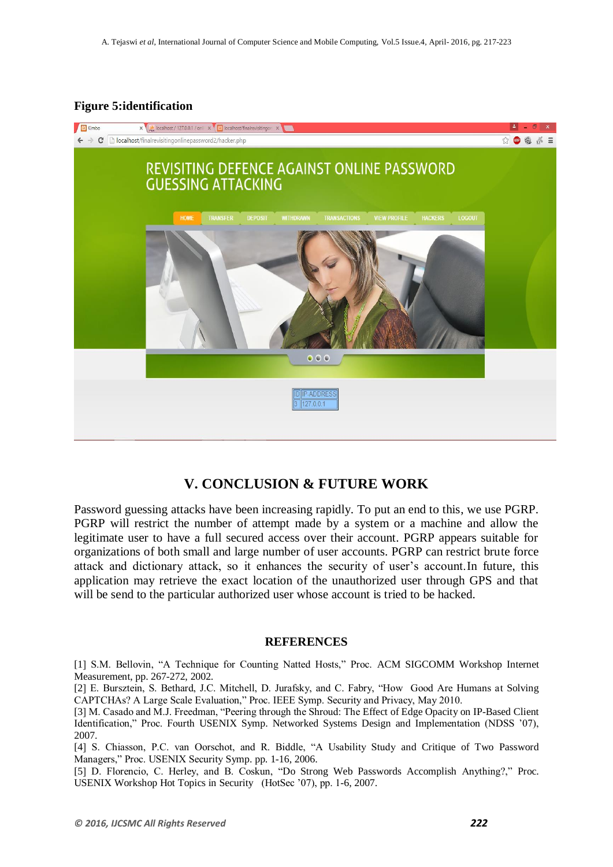### **Figure 5:identification**



## **V. CONCLUSION & FUTURE WORK**

Password guessing attacks have been increasing rapidly. To put an end to this, we use PGRP. PGRP will restrict the number of attempt made by a system or a machine and allow the legitimate user to have a full secured access over their account. PGRP appears suitable for organizations of both small and large number of user accounts. PGRP can restrict brute force attack and dictionary attack, so it enhances the security of user's account.In future, this application may retrieve the exact location of the unauthorized user through GPS and that will be send to the particular authorized user whose account is tried to be hacked.

#### **REFERENCES**

[1] S.M. Bellovin, "A Technique for Counting Natted Hosts," Proc. ACM SIGCOMM Workshop Internet Measurement, pp. 267-272, 2002.

[2] E. Bursztein, S. Bethard, J.C. Mitchell, D. Jurafsky, and C. Fabry, "How Good Are Humans at Solving CAPTCHAs? A Large Scale Evaluation," Proc. IEEE Symp. Security and Privacy, May 2010.

[3] M. Casado and M.J. Freedman, "Peering through the Shroud: The Effect of Edge Opacity on IP-Based Client Identification," Proc. Fourth USENIX Symp. Networked Systems Design and Implementation (NDSS '07), 2007.

[4] S. Chiasson, P.C. van Oorschot, and R. Biddle, "A Usability Study and Critique of Two Password Managers," Proc. USENIX Security Symp. pp. 1-16, 2006.

[5] D. Florencio, C. Herley, and B. Coskun, "Do Strong Web Passwords Accomplish Anything?," Proc. USENIX Workshop Hot Topics in Security (HotSec '07), pp. 1-6, 2007.